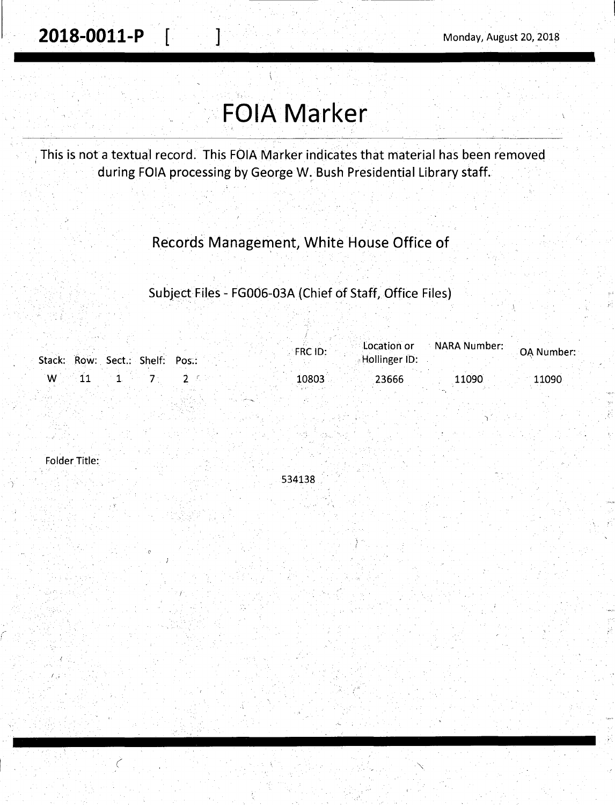--·~--~--------·------

# **FOIA Marker**

This is not a textual record. This FOIA Marker indicates that material has been removed during FOIA processing by George W. Bush Presidential Library staff.

# Records Management, White House Office of

Subject Files - FG006-03A {Chief of Staff, Office Files)

|                                 | $\blacksquare$ Location or<br><b>FRC ID:</b> | $\therefore$ NARA Number: $\therefore$ | <b>OA Number:</b> |
|---------------------------------|----------------------------------------------|----------------------------------------|-------------------|
| Stack: Row: Sect.: Shelf: Pos.: | Hollinger ID:                                |                                        |                   |
|                                 | 10803<br>23666                               | 11090                                  | 11090             |

Folder Title:

1 .•

 $\mathcal{C}_{\mathcal{C}}$ 

534138 .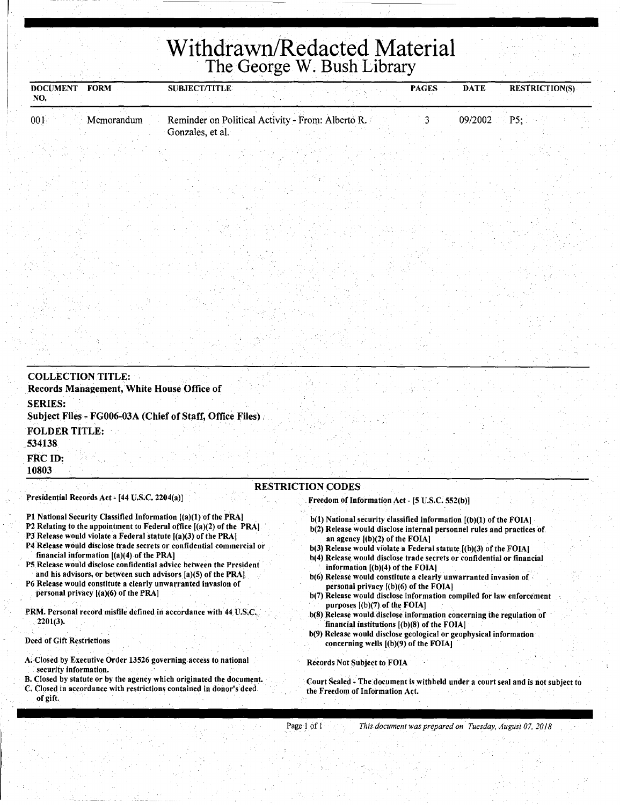# **Withdrawn/Redacted Material**  The George W. Bush Library

| <b>DOCUMENT</b><br><b>FORM</b><br>NO. | <b>SUBJECT/TITLE</b>                                                  | <b>PAGES</b> | <b>DATE</b>   | <b>RESTRICTION(S)</b> |
|---------------------------------------|-----------------------------------------------------------------------|--------------|---------------|-----------------------|
| 001<br>Memorandum                     | Reminder on Political Activity - From: Alberto R.<br>Gonzales, et al. |              | $09/2002$ P5: |                       |

| <b>COLLECTION TITLE:</b><br>Records Management, White House Office of                                                        |  |
|------------------------------------------------------------------------------------------------------------------------------|--|
| <b>SERIES:</b><br>Subject Files - FG006-03A (Chief of Staff, Office Files)                                                   |  |
| <b>FOLDER TITLE:</b><br>534138                                                                                               |  |
| FRC ID:<br>10803                                                                                                             |  |
| <b>RESTRICTION CODES</b><br>Presidential Records Act - [44 U.S.C. 2204(a)]<br>Freedom of Information Act. [5 II.S.C. 552(b)] |  |

- Pl National Security Classified Information [(a)(l) of the PRA)
- P2 Relating to the appointment to Federal office [(a)(2) of the PRA)
- P3 Release would violate a Federal statute [(a)(3) of the PRA]
- P4 Release would disclose trade secrets or confidential commercial or financial information [(a)(4) of the PRA]
- PS Release would disclose confidential advice between the President and his advisors, or between such advisors  $[a)(5)$  of the PRA]
- P6 Release would constitute a clearly unwarranted invasion of personal privacy [(a)(6) of the PRA]
- PRM. Personal record misfile defined in accordance with 44. U.S.C. 2201(3).

### Deed of Gift Restrictions

- A; Closed by Executive Order 13526 governing access to national security information.
- 8. Closed by statute or by the agency which originated the document. C. Closed in accordance with restrictions contained in donor's deed
- of gift.

. Freedom of Information Act- [5 U.S.C. 552(b))

- $b(1)$  National security classified information  $[(b)(1)$  of the FOIA]
- b(2) Release would disclose internal personnel rules and practices of an agency [(b)(2) of the FOIA)
- b(3) Release would violate a Federal statute.  $[(b)(3)$  of the FOIA]
- b(4) Release would disclose trade secrets or confidential or financial information [(b)(4) of the FOIAJ
- b(6) Release would constitute a clearly unwarranted invasion of · personal privacy [(b)(6) of the FOIAJ
- b(7) Release would disclose information compiled for law enforcement purposes  $[(b)(7)$  of the FOIA]
- b(8) Release would disclose information concerning the regulation of financial institutions [(b)(8) of the FOIA) ·
- b(9) Release would disclose geological or geophysical information concerning wells [(b)(9) of the FOIA)

Records Not Subject to FOIA

Court Sealed - The document is withheld under a court seal and is not subject to the Freedom of Information Act.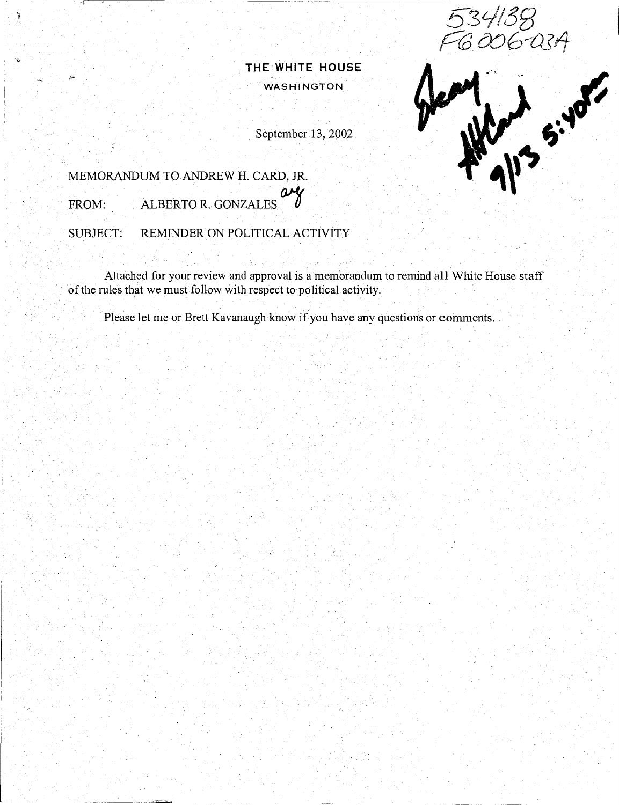006-03A

**THE WHITE HOUSE WASHINGTON** 

September 13, 2002

# N 5: 10

MEMORANDUM TO ANDREW H. CARD, JR.

FROM: ALBERTO R. GONZALES

-----,--;-)•,~ ----,c------------

SUBJECT: REMINDER ON POLITICAL ACTIVITY

Attached for your review and approval is a memorandum to remind all White House staff of the rules that we must follow with respect to political activity.

Please let me or Brett Kavanaugh know if you have any questions or comments.